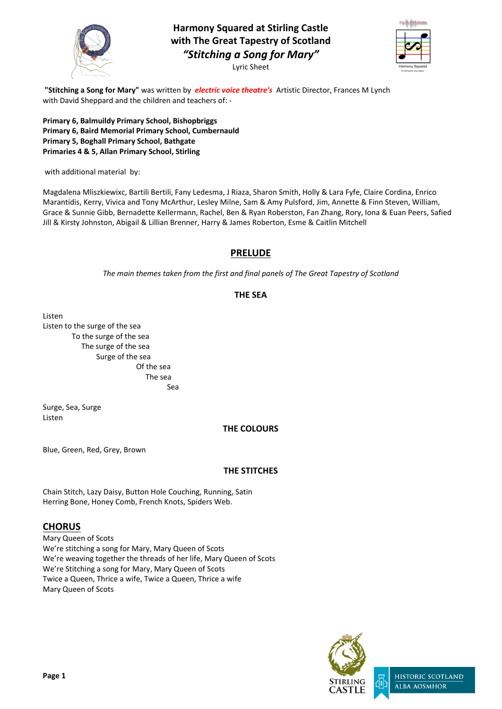

**Harmony Squared at Stirling Castle with The Great Tapestry of Scotland** *"Stitching a Song for Mary"* Lyric Sheet



**Page 1**



**"Stitching a Song for Mary"** was written by *electric voice theatre's* Artistic Director, Frances M Lynch with David Sheppard and the children and teachers of: -

**Primary 6, Balmuildy Primary School, Bishopbriggs Primary 6, Baird Memorial Primary School, Cumbernauld Primary 5, Boghall Primary School, Bathgate Primaries 4 & 5, Allan Primary School, Stirling**

with additional material by:

Magdalena Mliszkiewixc, Bartili Bertili, Fany Ledesma, J Riaza, Sharon Smith, Holly & Lara Fyfe, Claire Cordina, Enrico Marantidis, Kerry, Vivica and Tony McArthur, Lesley Milne, Sam & Amy Pulsford, Jim, Annette & Finn Steven, William, Grace & Sunnie Gibb, Bernadette Kellermann, Rachel, Ben & Ryan Roberston, Fan Zhang, Rory, Iona & Euan Peers, Safied Jill & Kirsty Johnston, Abigail & Lillian Brenner, Harry & James Roberton, Esme & Caitlin Mitchell

### **PRELUDE**

*The main themes taken from the first and final panels of The Great Tapestry of Scotland*

**THE SEA**

Listen Listen to the surge of the sea To the surge of the sea The surge of the sea Surge of the sea Of the sea The sea

Sea

Surge, Sea, Surge Listen

### **THE COLOURS**

Blue, Green, Red, Grey, Brown

#### **THE STITCHES**

Chain Stitch, Lazy Daisy, Button Hole Couching, Running, Satin Herring Bone, Honey Comb, French Knots, Spiders Web.

# **CHORUS**

Mary Queen of Scots We're stitching a song for Mary, Mary Queen of Scots We're weaving together the threads of her life, Mary Queen of Scots We're Stitching a song for Mary, Mary Queen of Scots Twice a Queen, Thrice a wife, Twice a Queen, Thrice a wife Mary Queen of Scots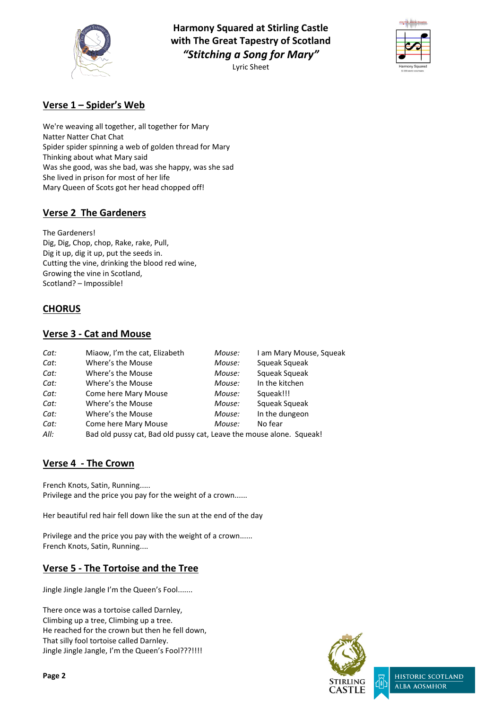

**Harmony Squared at Stirling Castle with The Great Tapestry of Scotland** *"Stitching a Song for Mary"* Lyric Sheet



**Page 2**



### **Verse 1 – Spider's Web**

We're weaving all together, all together for Mary Natter Natter Chat Chat Spider spider spinning a web of golden thread for Mary Thinking about what Mary said Was she good, was she bad, was she happy, was she sad She lived in prison for most of her life Mary Queen of Scots got her head chopped off!

## **Verse 2 The Gardeners**

The Gardeners! Dig, Dig, Chop, chop, Rake, rake, Pull, Dig it up, dig it up, put the seeds in. Cutting the vine, drinking the blood red wine, Growing the vine in Scotland, Scotland? – Impossible!

### **CHORUS**

#### **Verse 3 - Cat and Mouse**

| Cat: | Miaow, I'm the cat, Elizabeth                                        | Mouse: | I am Mary Mouse, Squeak |
|------|----------------------------------------------------------------------|--------|-------------------------|
| Cat: | Where's the Mouse                                                    | Mouse: | Squeak Squeak           |
| Cat: | Where's the Mouse                                                    | Mouse: | Squeak Squeak           |
| Cat: | Where's the Mouse                                                    | Mouse: | In the kitchen          |
| Cat: | <b>Come here Mary Mouse</b>                                          | Mouse: | Squeak!!!               |
| Cat: | Where's the Mouse                                                    | Mouse: | Squeak Squeak           |
| Cat: | Where's the Mouse                                                    | Mouse: | In the dungeon          |
| Cat: | <b>Come here Mary Mouse</b>                                          | Mouse: | No fear                 |
| All: | Bad old pussy cat, Bad old pussy cat, Leave the mouse alone. Squeak! |        |                         |

#### **Verse 4 - The Crown**

French Knots, Satin, Running..... Privilege and the price you pay for the weight of a crown......

Her beautiful red hair fell down like the sun at the end of the day

Privilege and the price you pay with the weight of a crown...... French Knots, Satin, Running....

#### **Verse 5 - The Tortoise and the Tree**

Jingle Jingle Jangle I'm the Queen's Fool.......

There once was a tortoise called Darnley, Climbing up a tree, Climbing up a tree. He reached for the crown but then he fell down, That silly fool tortoise called Darnley. Jingle Jingle Jangle, I'm the Queen's Fool???!!!!